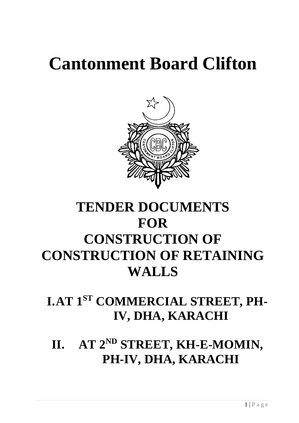# **Cantonment Board Clifton**



## **TENDER DOCUMENTS FOR CONSTRUCTION OF CONSTRUCTION OF RETAINING WALLS**

## **I.AT 1ST COMMERCIAL STREET, PH-IV, DHA, KARACHI**

**II. AT 2ND STREET, KH-E-MOMIN, PH-IV, DHA, KARACHI**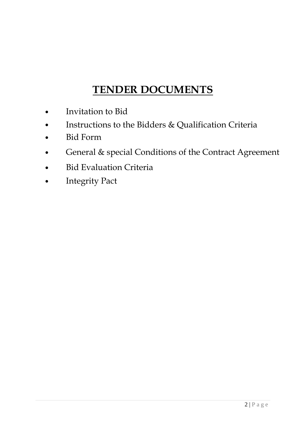## **TENDER DOCUMENTS**

- Invitation to Bid
- Instructions to the Bidders & Qualification Criteria
- Bid Form
- General & special Conditions of the Contract Agreement
- **Bid Evaluation Criteria**
- **Integrity Pact**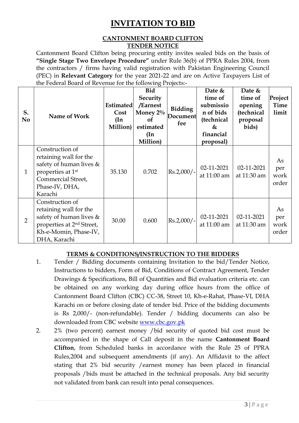### **INVITATION TO BID**

#### **CANTONMENT BOARD CLIFTON TENDER NOTICE**

Cantonment Board Clifton being procuring entity invites sealed bids on the basis of **"Single Stage Two Envelope Procedure"** under Rule 36(b) of PPRA Rules 2004, from the contractors / firms having valid registration with Pakistan Engineering Council (PEC) in **Relevant Category** for the year 2021-22 and are on Active Taxpayers List of the Federal Board of Revenue for the following Projects:-

| S.<br>N <sub>0</sub> | Name of Work                                                                                                                                                | <b>Estimated</b><br>Cost<br>$(\text{In})$<br>Million) | <b>Bid</b><br>Security<br>/Earnest<br>Money $2\%$<br><b>of</b><br>estimated<br>(In<br>Million) | <b>Bidding</b><br>Document<br>fee | Date &<br>time of<br>submissio<br>n of bids<br>(technical<br>&<br>financial<br>proposal) | Date &<br>time of<br>opening<br>(technical<br>proposal<br>bids) | Project<br>Time<br>limit   |
|----------------------|-------------------------------------------------------------------------------------------------------------------------------------------------------------|-------------------------------------------------------|------------------------------------------------------------------------------------------------|-----------------------------------|------------------------------------------------------------------------------------------|-----------------------------------------------------------------|----------------------------|
| 1                    | Construction of<br>retaining wall for the<br>safety of human lives $\&$<br>properties at 1 <sup>st</sup><br>Commercial Street,<br>Phase-IV, DHA,<br>Karachi | 35.130                                                | 0.702                                                                                          | $Rs.2,000/-$                      | 02-11-2021<br>at 11:00 am                                                                | 02-11-2021<br>at 11:30 am                                       | As<br>per<br>work<br>order |
| $\overline{2}$       | Construction of<br>retaining wall for the<br>safety of human lives $\&$<br>properties at 2 <sup>nd</sup> Street,<br>Kh-e-Momin, Phase-IV,<br>DHA, Karachi   | 30.00                                                 | 0.600                                                                                          | $Rs.2,000/-$                      | 02-11-2021<br>at 11:00 am                                                                | 02-11-2021<br>at 11:30 am                                       | As<br>per<br>work<br>order |

#### **TERMS & CONDITIONS/INSTRUCTION TO THE BIDDERS**

- 1. Tender / Bidding documents containing Invitation to the bid/Tender Notice, Instructions to bidders, Form of Bid, Conditions of Contract Agreement, Tender Drawings & Specifications, Bill of Quantities and Bid evaluation criteria etc. can be obtained on any working day during office hours from the office of Cantonment Board Clifton (CBC) CC-38, Street 10, Kh-e-Rahat, Phase-VI, DHA Karachi on or before closing date of tender bid. Price of the bidding documents is Rs 2,000/- (non-refundable). Tender / bidding documents can also be downloaded from CBC website [www.cbc.gov.pk](http://www.cbc.gov.pk/)
- 2. 2% (two percent) earnest money /bid security of quoted bid cost must be accompanied in the shape of Call deposit in the name **Cantonment Board Clifton**, from Scheduled banks in accordance with the Rule 25 of PPRA Rules,2004 and subsequent amendments (if any). An Affidavit to the affect stating that 2% bid security /earnest money has been placed in financial proposals /bids must be attached in the technical proposals. Any bid security not validated from bank can result into penal consequences.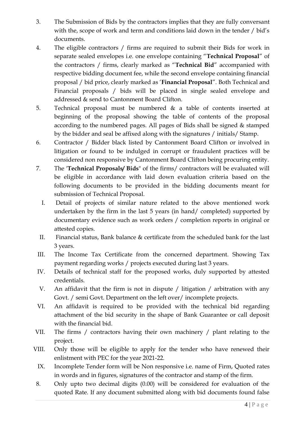- 3. The Submission of Bids by the contractors implies that they are fully conversant with the, scope of work and term and conditions laid down in the tender / bid's documents.
- 4. The eligible contractors / firms are required to submit their Bids for work in separate sealed envelopes i.e. one envelope containing "**Technical Proposal**" of the contractors / firms, clearly marked as "**Technical Bid**" accompanied with respective bidding document fee, while the second envelope containing financial proposal / bid price, clearly marked as '**Financial Proposal**". Both Technical and Financial proposals / bids will be placed in single sealed envelope and addressed & send to Cantonment Board Clifton.
- 5. Technical proposal must be numbered & a table of contents inserted at beginning of the proposal showing the table of contents of the proposal according to the numbered pages. All pages of Bids shall be signed & stamped by the bidder and seal be affixed along with the signatures / initials/ Stamp.
- 6. Contractor / Bidder black listed by Cantonment Board Clifton or involved in litigation or found to be indulged in corrupt or fraudulent practices will be considered non responsive by Cantonment Board Clifton being procuring entity.
- 7. The '**Technical Proposals/ Bids**" of the firms/ contractors will be evaluated will be eligible in accordance with laid down evaluation criteria based on the following documents to be provided in the bidding documents meant for submission of Technical Proposal.
	- I. Detail of projects of similar nature related to the above mentioned work undertaken by the firm in the last 5 years (in hand/ completed) supported by documentary evidence such as work orders / completion reports in original or attested copies.
	- II. Financial status, Bank balance & certificate from the scheduled bank for the last 3 years.
- III. The Income Tax Certificate from the concerned department. Showing Tax payment regarding works / projects executed during last 3 years.
- IV. Details of technical staff for the proposed works, duly supported by attested credentials.
- V. An affidavit that the firm is not in dispute / litigation / arbitration with any Govt. / semi Govt. Department on the left over/incomplete projects.
- VI. An affidavit is required to be provided with the technical bid regarding attachment of the bid security in the shape of Bank Guarantee or call deposit with the financial bid.
- VII. The firms / contractors having their own machinery / plant relating to the project.
- VIII. Only those will be eligible to apply for the tender who have renewed their enlistment with PEC for the year 2021-22.
	- IX. Incomplete Tender form will be Non responsive i.e. name of Firm, Quoted rates in words and in figures, signatures of the contractor and stamp of the firm.
- 8. Only upto two decimal digits (0.00) will be considered for evaluation of the quoted Rate. If any document submitted along with bid documents found false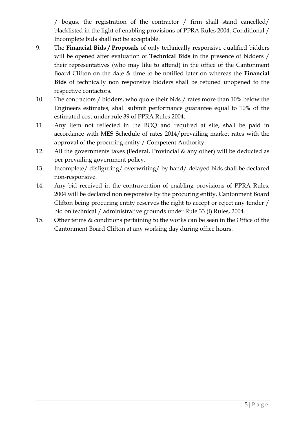/ bogus, the registration of the contractor / firm shall stand cancelled/ blacklisted in the light of enabling provisions of PPRA Rules 2004. Conditional / Incomplete bids shall not be acceptable.

- 9. The **Financial Bids / Proposals** of only technically responsive qualified bidders will be opened after evaluation of **Technical Bids** in the presence of bidders / their representatives (who may like to attend) in the office of the Cantonment Board Clifton on the date & time to be notified later on whereas the **Financial Bids** of technically non responsive bidders shall be retuned unopened to the respective contactors.
- 10. The contractors / bidders, who quote their bids / rates more than 10% below the Engineers estimates, shall submit performance guarantee equal to 10% of the estimated cost under rule 39 of PPRA Rules 2004.
- 11. Any Item not reflected in the BOQ and required at site, shall be paid in accordance with MES Schedule of rates 2014/prevailing market rates with the approval of the procuring entity / Competent Authority.
- 12. All the governments taxes (Federal, Provincial & any other) will be deducted as per prevailing government policy.
- 13. Incomplete/ disfiguring/ overwriting/ by hand/ delayed bids shall be declared non-responsive.
- 14. Any bid received in the contravention of enabling provisions of PPRA Rules, 2004 will be declared non responsive by the procuring entity. Cantonment Board Clifton being procuring entity reserves the right to accept or reject any tender / bid on technical / administrative grounds under Rule 33 (l) Rules, 2004.
- 15. Other terms & conditions pertaining to the works can be seen in the Office of the Cantonment Board Clifton at any working day during office hours.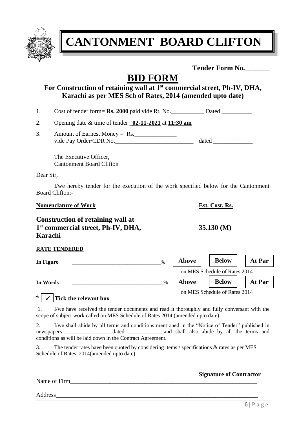

**CANTONMENT BOARD CLIFTON**

**Tender Form No.\_\_\_\_\_\_\_**

## **BID FORM**

#### **For Construction of retaining wall at 1st commercial street, Ph-IV, DHA, Karachi as per MES Sch of Rates, 2014 (amended upto date)**

1. Cost of tender form= **Rs. 2000** paid vide Rt. No. Dated Dated

| 2. | Opening date $\&$ time of tender $\underline{\hspace{1em}02\text{-}11\text{-}2021}$ at $\underline{\hspace{1em}11\text{:}30\text{ am}}$ |  |
|----|-----------------------------------------------------------------------------------------------------------------------------------------|--|
|----|-----------------------------------------------------------------------------------------------------------------------------------------|--|

3. Amount of Earnest Money = Rs. vide Pay Order/CDR No.\_\_\_\_\_\_\_\_\_\_\_\_\_\_\_\_\_\_\_\_\_\_\_\_\_\_ dated \_\_\_\_\_\_\_\_\_\_\_\_\_

The Executive Officer, Cantonment Board Clifton

Dear Sir,

I/we hereby tender for the execution of the work specified below for the Cantonment Board Clifton:-

#### **Nomenclature of Work Est. Cost. Rs.**

**Construction of retaining wall at 1 st commercial street, Ph-IV, DHA, 35.130 (M) Karachi**

| <b>RATE TENDERED</b> |               |              |                               |        |
|----------------------|---------------|--------------|-------------------------------|--------|
| In Figure            | $\frac{0}{0}$ | <b>Above</b> | <b>Below</b>                  | At Par |
|                      |               |              | on MES Schedule of Rates 2014 |        |
| In Words             | %             | <b>Above</b> | <b>Below</b>                  | At Par |
|                      |               |              | on MES Schedule of Rates 2014 |        |

#### \* ✓ **Tick the relevant box**

1. I/we have received the tender documents and read it thoroughly and fully conversant with the scope of subject work called on MES Schedule of Rates 2014 (amended upto date).

2. I/we shall abide by all terms and conditions mentioned in the "Notice of Tender" published in newspapers \_\_\_\_\_\_\_\_\_\_\_\_\_\_\_\_\_dated \_\_\_\_\_\_\_\_\_\_\_\_\_and shall also abide by all the terms and conditions as will be laid down in the Contract Agreement.

3. The tender rates have been quoted by considering items / specifications & rates as per MES Schedule of Rates, 2014(amended upto date).

#### Name of Firm

#### **Signature of Contractor**

Address\_\_\_\_\_\_\_\_\_\_\_\_\_\_\_\_\_\_\_\_\_\_\_\_\_\_\_\_\_\_\_\_\_\_\_\_\_\_\_\_\_\_\_\_\_\_\_\_\_\_\_\_\_\_\_\_\_\_\_\_\_\_\_\_\_\_\_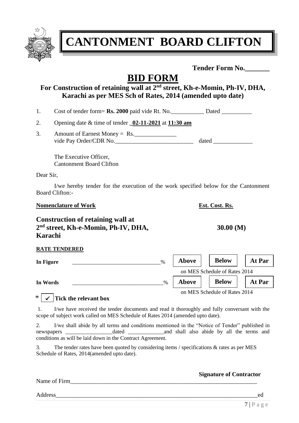

**CANTONMENT BOARD CLIFTON**

**Tender Form No.\_\_\_\_\_\_\_**

## **BID FORM**

#### **For Construction of retaining wall at 2nd street, Kh-e-Momin, Ph-IV, DHA, Karachi as per MES Sch of Rates, 2014 (amended upto date)**

1. Cost of tender form= **Rs. 2000** paid vide Rt. No. Dated Dated

| 2. | Opening date $\&$ time of tender $\underline{\hspace{1em}02\text{-}11\text{-}2021}$ at $\underline{\hspace{1em}11\text{:}30\text{ am}}$ |  |
|----|-----------------------------------------------------------------------------------------------------------------------------------------|--|
|----|-----------------------------------------------------------------------------------------------------------------------------------------|--|

3. Amount of Earnest Money =  $Rs.$ vide Pay Order/CDR No.\_\_\_\_\_\_\_\_\_\_\_\_\_\_\_\_\_\_\_\_\_\_\_\_\_\_ dated \_\_\_\_\_\_\_\_\_\_\_\_\_

The Executive Officer, Cantonment Board Clifton

Dear Sir,

I/we hereby tender for the execution of the work specified below for the Cantonment Board Clifton:-

#### **Nomenclature of Work Est. Cost. Rs.**

| Construction of retaining wall at               |
|-------------------------------------------------|
| 2 <sup>nd</sup> street, Kh-e-Momin, Ph-IV, DHA, |
| Karachi                                         |

| <b>RATE TENDERED</b> |
|----------------------|
|                      |

**In Figure**  $\%$ 

**In Words**  $\frac{9}{6}$ 

on MES Schedule of Rates 2014

**Above** | **Below** | **At Par** 

on MES Schedule of Rates 2014

**Above Below** 

#### \* ✓ **Tick the relevant box**

1. I/we have received the tender documents and read it thoroughly and fully conversant with the scope of subject work called on MES Schedule of Rates 2014 (amended upto date).

2. I/we shall abide by all terms and conditions mentioned in the "Notice of Tender" published in newspapers \_\_\_\_\_\_\_\_\_\_\_\_\_\_\_\_\_dated \_\_\_\_\_\_\_\_\_\_\_\_\_and shall also abide by all the terms and conditions as will be laid down in the Contract Agreement.

3. The tender rates have been quoted by considering items / specifications & rates as per MES Schedule of Rates, 2014(amended upto date).

#### Name of Firm

#### **Signature of Contractor**

Address\_\_\_\_\_\_\_\_\_\_\_\_\_\_\_\_\_\_\_\_\_\_\_\_\_\_\_\_\_\_\_\_\_\_\_\_\_\_\_\_\_\_\_\_\_\_\_\_\_\_\_\_\_\_\_\_\_\_\_\_\_\_\_\_\_\_\_ed

**30.00 (M)** 

**At Par**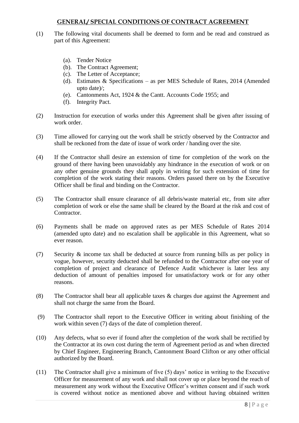#### **GENERAL/ SPECIAL CONDITIONS OF CONTRACT AGREEMENT**

- (1) The following vital documents shall be deemed to form and be read and construed as part of this Agreement:
	- (a). Tender Notice
	- (b). The Contract Agreement;
	- (c). The Letter of Acceptance;
	- (d). Estimates & Specifications as per MES Schedule of Rates, 2014 (Amended upto date)/;
	- (e). Cantonments Act, 1924 & the Cantt. Accounts Code 1955; and
	- (f). Integrity Pact.
- (2) Instruction for execution of works under this Agreement shall be given after issuing of work order.
- (3) Time allowed for carrying out the work shall be strictly observed by the Contractor and shall be reckoned from the date of issue of work order / handing over the site.
- (4) If the Contractor shall desire an extension of time for completion of the work on the ground of there having been unavoidably any hindrance in the execution of work or on any other genuine grounds they shall apply in writing for such extension of time for completion of the work stating their reasons. Orders passed there on by the Executive Officer shall be final and binding on the Contractor.
- (5) The Contractor shall ensure clearance of all debris/waste material etc, from site after completion of work or else the same shall be cleared by the Board at the risk and cost of Contractor.
- (6) Payments shall be made on approved rates as per MES Schedule of Rates 2014 (amended upto date) and no escalation shall be applicable in this Agreement, what so ever reason.
- (7) Security & income tax shall be deducted at source from running bills as per policy in vogue, however, security deducted shall be refunded to the Contractor after one year of completion of project and clearance of Defence Audit whichever is later less any deduction of amount of penalties imposed for unsatisfactory work or for any other reasons.
- (8) The Contractor shall bear all applicable taxes & charges due against the Agreement and shall not charge the same from the Board.
- (9) The Contractor shall report to the Executive Officer in writing about finishing of the work within seven (7) days of the date of completion thereof.
- (10) Any defects, what so ever if found after the completion of the work shall be rectified by the Contractor at its own cost during the term of Agreement period as and when directed by Chief Engineer, Engineering Branch, Cantonment Board Clifton or any other official authorized by the Board.
- (11) The Contractor shall give a minimum of five (5) days' notice in writing to the Executive Officer for measurement of any work and shall not cover up or place beyond the reach of measurement any work without the Executive Officer's written consent and if such work is covered without notice as mentioned above and without having obtained written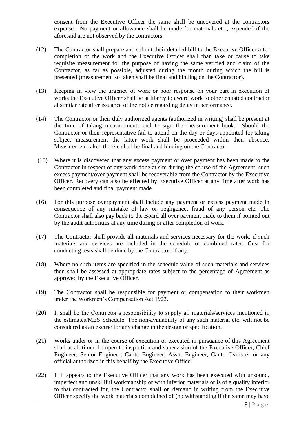consent from the Executive Officer the same shall be uncovered at the contractors expense. No payment or allowance shall be made for materials etc., expended if the aforesaid are not observed by the contractors.

- (12) The Contractor shall prepare and submit their detailed bill to the Executive Officer after completion of the work and the Executive Officer shall than take or cause to take requisite measurement for the purpose of having the same verified and claim of the Contractor, as far as possible, adjusted during the month during which the bill is presented (measurement so taken shall be final and binding on the Contractor).
- (13) Keeping in view the urgency of work or poor response on your part in execution of works the Executive Officer shall be at liberty to award work to other enlisted contractor at similar rate after issuance of the notice regarding delay in performance.
- (14) The Contractor or their duly authorized agents (authorized in writing) shall be present at the time of taking measurements and to sign the measurement book. Should the Contractor or their representative fail to attend on the day or days appointed for taking subject measurement the latter work shall be proceeded within their absence. Measurement taken thereto shall be final and binding on the Contractor.
- (15) Where it is discovered that any excess payment or over payment has been made to the Contractor in respect of any work done at site during the course of the Agreement, such excess payment/over payment shall be recoverable from the Contractor by the Executive Officer. Recovery can also be effected by Executive Officer at any time after work has been completed and final payment made.
- (16) For this purpose overpayment shall include any payment or excess payment made in consequence of any mistake of law or negligence, fraud of any person etc. The Contractor shall also pay back to the Board all over payment made to them if pointed out by the audit authorities at any time during or after completion of work.
- (17) The Contractor shall provide all materials and services necessary for the work, if such materials and services are included in the schedule of combined rates. Cost for conducting tests shall be done by the Contractor, if any.
- (18) Where no such items are specified in the schedule value of such materials and services then shall be assessed at appropriate rates subject to the percentage of Agreement as approved by the Executive Officer.
- (19) The Contractor shall be responsible for payment or compensation to their workmen under the Workmen's Compensation Act 1923.
- (20) It shall be the Contractor's responsibility to supply all materials/services mentioned in the estimates/MES Schedule. The non-availability of any such material etc. will not be considered as an excuse for any change in the design or specification.
- (21) Works under or in the course of execution or executed in pursuance of this Agreement shall at all timed be open to inspection and supervision of the Executive Officer, Chief Engineer, Senior Engineer, Cantt. Engineer, Asstt. Engineer, Cantt. Overseer or any official authorized in this behalf by the Executive Officer.
- (22) If it appears to the Executive Officer that any work has been executed with unsound, imperfect and unskillful workmanship or with inferior materials or is of a quality inferior to that contracted for, the Contractor shall on demand in writing from the Executive Officer specify the work materials complained of (notwithstanding if the same may have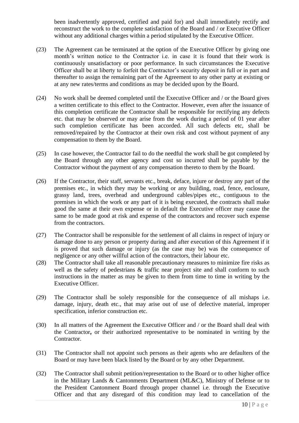been inadvertently approved, certified and paid for) and shall immediately rectify and reconstruct the work to the complete satisfaction of the Board and / or Executive Officer without any additional charges within a period stipulated by the Executive Officer.

- (23) The Agreement can be terminated at the option of the Executive Officer by giving one month's written notice to the Contractor i.e. in case it is found that their work is continuously unsatisfactory or poor performance. In such circumstances the Executive Officer shall be at liberty to forfeit the Contractor's security deposit in full or in part and thereafter to assign the remaining part of the Agreement to any other party at existing or at any new rates/terms and conditions as may be decided upon by the Board.
- (24) No work shall be deemed completed until the Executive Officer and / or the Board gives a written certificate to this effect to the Contractor. However, even after the issuance of this completion certificate the Contractor shall be responsible for rectifying any defects etc. that may be observed or may arise from the work during a period of 01 year after such completion certificate has been accorded. All such defects etc, shall be removed/repaired by the Contractor at their own risk and cost without payment of any compensation to them by the Board.
- (25) In case however, the Contractor fail to do the needful the work shall be got completed by the Board through any other agency and cost so incurred shall be payable by the Contractor without the payment of any compensation thereto to them by the Board.
- (26) If the Contractor, their staff, servants etc., break, deface, injure or destroy any part of the premises etc., in which they may be working or any building, road, fence, enclosure, grassy land, trees, overhead and underground cables/pipes etc., contiguous to the premises in which the work or any part of it is being executed, the contracts shall make good the same at their own expense or in default the Executive officer may cause the same to be made good at risk and expense of the contractors and recover such expense from the contractors.
- (27) The Contractor shall be responsible for the settlement of all claims in respect of injury or damage done to any person or property during and after execution of this Agreement if it is proved that such damage or injury (as the case may be) was the consequence of negligence or any other willful action of the contractors, their labour etc.
- (28) The Contractor shall take all reasonable precautionary measures to minimize fire risks as well as the safety of pedestrians & traffic near project site and shall conform to such instructions in the matter as may be given to them from time to time in writing by the Executive Officer.
- (29) The Contractor shall be solely responsible for the consequence of all mishaps i.e. damage, injury, death etc., that may arise out of use of defective material, improper specification, inferior construction etc.
- (30) In all matters of the Agreement the Executive Officer and / or the Board shall deal with the Contractor**,** or their authorized representative to be nominated in writing by the Contractor.
- (31) The Contractor shall not appoint such persons as their agents who are defaulters of the Board or may have been black listed by the Board or by any other Department.
- (32) The Contractor shall submit petition/representation to the Board or to other higher office in the Military Lands & Cantonments Department (ML&C), Ministry of Defense or to the President Cantonment Board through proper channel i.e. through the Executive Officer and that any disregard of this condition may lead to cancellation of the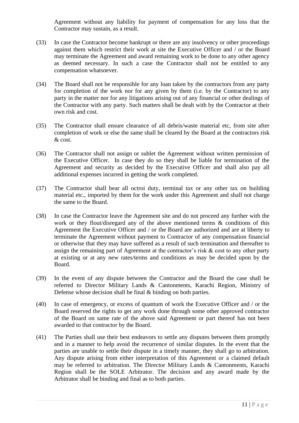Agreement without any liability for payment of compensation for any loss that the Contractor may sustain, as a result.

- (33) In case the Contractor become bankrupt or there are any insolvency or other proceedings against them which restrict their work at site the Executive Officer and / or the Board may terminate the Agreement and award remaining work to be done to any other agency as deemed necessary. In such a case the Contractor shall not be entitled to any compensation whatsoever.
- (34) The Board shall not be responsible for any loan taken by the contractors from any party for completion of the work nor for any given by them (i.e. by the Contractor) to any party in the matter nor for any litigations arising out of any financial or other dealings of the Contractor with any party. Such matters shall be dealt with by the Contractor at their own risk and cost.
- (35) The Contractor shall ensure clearance of all debris/waste material etc, from site after completion of work or else the same shall be cleared by the Board at the contractors risk & cost.
- (36) The Contractor shall not assign or sublet the Agreement without written permission of the Executive Officer. In case they do so they shall be liable for termination of the Agreement and security as decided by the Executive Officer and shall also pay all additional expenses incurred in getting the work completed.
- (37) The Contractor shall bear all octroi duty, terminal tax or any other tax on building material etc., imported by them for the work under this Agreement and shall not charge the same to the Board.
- (38) In case the Contractor leave the Agreement site and do not proceed any further with the work or they flout/disregard any of the above mentioned terms  $\&$  conditions of this Agreement the Executive Officer and / or the Board are authorized and are at liberty to terminate the Agreement without payment to Contractor of any compensation financial or otherwise that they may have suffered as a result of such termination and thereafter to assign the remaining part of Agreement at the contractor's risk & cost to any other party at existing or at any new rates/terms and conditions as may be decided upon by the Board.
- (39) In the event of any dispute between the Contractor and the Board the case shall be referred to Director Military Lands & Cantonments, Karachi Region, Ministry of Defense whose decision shall be final  $\&$  binding on both parties.
- (40) In case of emergency, or excess of quantum of work the Executive Officer and / or the Board reserved the rights to get any work done through some other approved contractor of the Board on same rate of the above said Agreement or part thereof has not been awarded to that contractor by the Board.
- (41) The Parties shall use their best endeavors to settle any disputes between them promptly and in a manner to help avoid the recurrence of similar disputes. In the event that the parties are unable to settle their dispute in a timely manner, they shall go to arbitration. Any dispute arising from either interpretation of this Agreement or a claimed default may be referred to arbitration. The Director Military Lands & Cantonments, Karachi Region shall be the SOLE Arbitrator. The decision and any award made by the Arbitrator shall be binding and final as to both parties.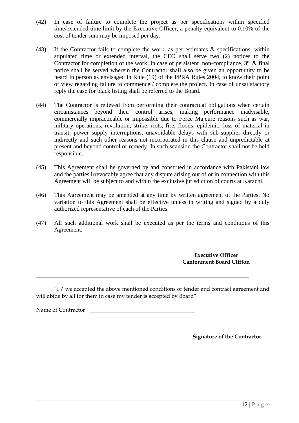- (42) In case of failure to complete the project as per specifications within specified time/extended time limit by the Executive Officer, a penalty equivalent to 0.10% of the cost of tender sum may be imposed per day.
- (43) If the Contractor fails to complete the work, as per estimates & specifications, within stipulated time or extended interval, the CEO shall serve two (2) notices to the Contractor for completion of the work. In case of persistent non-compliance,  $3<sup>rd</sup>$  & final notice shall be served wherein the Contractor shall also be given an opportunity to be heard in person as envisaged in Rule (19) of the PPRA Rules 2004, to know their point of view regarding failure to commence / complete the project. In case of unsatisfactory reply the case for black listing shall be referred to the Board.
- (44) The Contractor is relieved from performing their contractual obligations when certain circumstances beyond their control arises, making performance inadvisable, commercially impracticable or impossible due to Force Majeure reasons such as war, military operations, revolution, strike, riots, fire, floods, epidemic, loss of material in transit, power supply interruptions, unavoidable delays with sub-supplier directly or indirectly and such other reasons not incorporated in this clause and unpredictable at present and beyond control or remedy. In such scansion the Contractor shall not be held responsible.
- (45) This Agreement shall be governed by and construed in accordance with Pakistani law and the parties irrevocably agree that any dispute arising out of or in connection with this Agreement will be subject to and within the exclusive jurisdiction of courts at Karachi.
- (46) This Agreement may be amended at any time by written agreement of the Parties. No variation to this Agreement shall be effective unless in writing and signed by a duly authorized representative of each of the Parties.
- (47) All such additional work shall be executed as per the terms and conditions of this Agreement.

**Executive Officer Cantonment Board Clifton**

"I / we accepted the above mentioned conditions of tender and contract agreement and will abide by all for them in case my tender is accepted by Board"

\_\_\_\_\_\_\_\_\_\_\_\_\_\_\_\_\_\_\_\_\_\_\_\_\_\_\_\_\_\_\_\_\_\_\_\_\_\_\_\_\_\_\_\_\_\_\_\_\_\_\_\_\_\_\_\_\_\_\_\_\_\_\_\_\_\_\_\_\_\_\_\_\_\_\_\_\_

Name of Contractor

 **Signature of the Contractor.**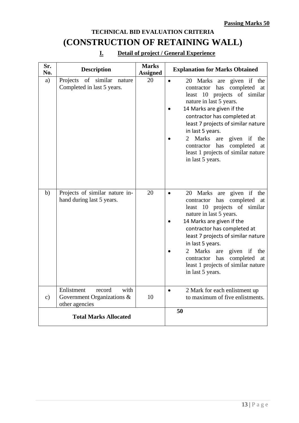### **TECHNICAL BID EVALUATION CRITERIA (CONSTRUCTION OF RETAINING WALL)**

| Sr.<br>No.                   | <b>Description</b>                                                           | <b>Marks</b><br><b>Assigned</b> | <b>Explanation for Marks Obtained</b>                                                                                                                                                                                                                                                                                                                                                               |  |  |
|------------------------------|------------------------------------------------------------------------------|---------------------------------|-----------------------------------------------------------------------------------------------------------------------------------------------------------------------------------------------------------------------------------------------------------------------------------------------------------------------------------------------------------------------------------------------------|--|--|
| a)                           | Projects of similar<br>nature<br>Completed in last 5 years.                  | 20                              | Marks are given if the<br>20<br>$\bullet$<br>completed at<br>has<br>contractor<br>least 10 projects of similar<br>nature in last 5 years.<br>14 Marks are given if the<br>contractor has completed at<br>least 7 projects of similar nature<br>in last 5 years.<br>Marks<br>given if the<br>2<br>are<br>contractor has<br>completed<br>at<br>least 1 projects of similar nature<br>in last 5 years. |  |  |
| b)                           | Projects of similar nature in-<br>hand during last 5 years.                  | 20                              | 20 Marks are given if the<br>completed<br>contractor has<br>at<br>least 10 projects of similar<br>nature in last 5 years.<br>14 Marks are given if the<br>contractor has completed at<br>least 7 projects of similar nature<br>in last 5 years.<br>Marks<br>given if the<br>2<br>are<br>has<br>completed<br>contractor<br>at<br>least 1 projects of similar nature<br>in last 5 years.              |  |  |
| $\mathbf{c})$                | Enlistment<br>with<br>record<br>Government Organizations &<br>other agencies | 10                              | 2 Mark for each enlistment up<br>$\bullet$<br>to maximum of five enlistments.                                                                                                                                                                                                                                                                                                                       |  |  |
| <b>Total Marks Allocated</b> |                                                                              |                                 | 50                                                                                                                                                                                                                                                                                                                                                                                                  |  |  |

#### **I. Detail of project / General Experience**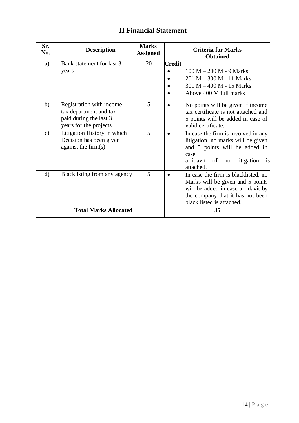#### **II Financial Statement**

| Sr.<br>No.                   | <b>Description</b>                                                                                     | <b>Marks</b><br><b>Assigned</b> |               | <b>Criteria for Marks</b><br><b>Obtained</b>                                                                                                                                          |
|------------------------------|--------------------------------------------------------------------------------------------------------|---------------------------------|---------------|---------------------------------------------------------------------------------------------------------------------------------------------------------------------------------------|
| a)                           | Bank statement for last 3<br>years                                                                     | 20                              | <b>Credit</b> | $100 M - 200 M - 9 Marks$<br>201 M - 300 M - 11 Marks<br>$301 M - 400 M - 15$ Marks<br>Above 400 M full marks                                                                         |
| b)                           | Registration with income<br>tax department and tax<br>paid during the last 3<br>years for the projects | 5                               |               | No points will be given if income<br>tax certificate is not attached and<br>5 points will be added in case of<br>valid certificate.                                                   |
| $\mathbf{c})$                | Litigation History in which<br>Decision has been given<br>against the firm $(s)$                       | 5                               |               | In case the firm is involved in any<br>litigation, no marks will be given<br>and 5 points will be added in<br>case<br>affidavit of<br>litigation<br>no<br><sup>1</sup> S<br>attached. |
| $\mathbf{d}$                 | Blacklisting from any agency                                                                           | 5                               |               | In case the firm is blacklisted, no<br>Marks will be given and 5 points<br>will be added in case affidavit by<br>the company that it has not been<br>black listed is attached.        |
| <b>Total Marks Allocated</b> |                                                                                                        |                                 |               | 35                                                                                                                                                                                    |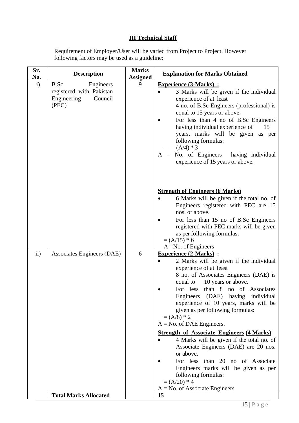#### **III Technical Staff**

Requirement of Employer/User will be varied from Project to Project. However following factors may be used as a guideline:

| Sr.<br>No.    | <b>Description</b>                                                               | <b>Marks</b><br><b>Assigned</b> | <b>Explanation for Marks Obtained</b>                                                                                                                                                                                                                                                                                                                                                                                                                                                                                                                                                                                                                                                                                          |
|---------------|----------------------------------------------------------------------------------|---------------------------------|--------------------------------------------------------------------------------------------------------------------------------------------------------------------------------------------------------------------------------------------------------------------------------------------------------------------------------------------------------------------------------------------------------------------------------------------------------------------------------------------------------------------------------------------------------------------------------------------------------------------------------------------------------------------------------------------------------------------------------|
| $\mathbf{i}$  | B.Sc<br>Engineers<br>registered with Pakistan<br>Engineering<br>Council<br>(PEC) | 9                               | <b>Experience (3-Marks):</b><br>3 Marks will be given if the individual<br>experience of at least<br>4 no. of B.Sc Engineers (professional) is<br>equal to 15 years or above.<br>For less than 4 no of B.Sc Engineers<br>having individual experience of<br>15<br>years, marks will be given<br>as per<br>following formulas:<br>$(A/4)*3$<br>$=$<br>$A = No.$ of Engineers<br>having individual<br>experience of 15 years or above.                                                                                                                                                                                                                                                                                           |
|               |                                                                                  |                                 | <b>Strength of Engineers (6 Marks)</b><br>6 Marks will be given if the total no. of<br>Engineers registered with PEC are 15<br>nos. or above.<br>For less than 15 no of B.Sc Engineers<br>registered with PEC marks will be given<br>as per following formulas:<br>$=(A/15)*6$                                                                                                                                                                                                                                                                                                                                                                                                                                                 |
| $\mathbf{ii}$ | Associates Engineers (DAE)                                                       | 6                               | $A = No.$ of Engineers<br><b>Experience (2-Marks):</b><br>2 Marks will be given if the individual<br>experience of at least<br>8 no. of Associates Engineers (DAE) is<br>10 years or above.<br>equal to<br>For less than 8 no of Associates<br>Engineers (DAE) having individual<br>experience of 10 years, marks will be<br>given as per following formulas:<br>$= (A/8) * 2$<br>$A = No$ . of DAE Engineers.<br><b>Strength of Associate Engineers (4 Marks)</b><br>4 Marks will be given if the total no. of<br>Associate Engineers (DAE) are 20 nos.<br>or above.<br>For less than 20 no of Associate<br>Engineers marks will be given as per<br>following formulas:<br>$= (A/20) * 4$<br>$A = No.$ of Associate Engineers |
|               | <b>Total Marks Allocated</b>                                                     |                                 | 15                                                                                                                                                                                                                                                                                                                                                                                                                                                                                                                                                                                                                                                                                                                             |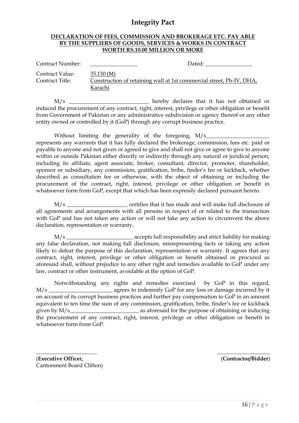#### **Integrity Pact**

#### **DECLARATION OF FEES, COMMISSION AND BROKERAGE ETC. PAY ABLE BY THE SUPPLIERS OF GOODS, SERVICES & WORKS IN CONTRACT WORTH RS.10.00 MILLION OR MORE**

| Contract Number:                   | Dated:                                                                                       |
|------------------------------------|----------------------------------------------------------------------------------------------|
| Contract Value:<br>Contract Title: | 35.130(M)<br>Construction of retaining wall at 1st commercial street, Ph-IV, DHA,<br>Karachi |

M/s \_\_\_\_\_\_\_\_\_\_\_\_\_\_\_\_\_\_\_\_\_\_\_\_\_\_\_\_\_ hereby declares that it has not obtained or induced the procurement of any contract, right, interest, privilege or other obligation or benefit from Government of Pakistan or any administrative subdivision or agency thereof or any other entity owned or controlled by it (GoP) through any corrupt business practice.

Without limiting the generality of the foregoing,  $M/s$ represents any warrants that it has fully declared the brokerage, commission, fees etc. paid or payable to anyone and not given or agreed to give and shall not give or agree to give to anyone within or outside Pakistan either directly or indirectly through any natural or juridical person, including its affiliate, agent associate, broker, consultant, director, promoter, shareholder, sponsor or subsidiary, any commission, gratification, bribe, finder's fee or kickback, whether described as consultation fee or otherwise, with the object of obtaining or including the procurement of the contract, right, interest, privilege or other obligation or benefit in whatsoever form from GoP, except that which has been expressly declared pursuant hereto.

M/s \_\_\_\_\_\_\_\_\_\_\_\_\_\_\_\_\_\_\_\_\_\_\_ certifies that it has made and will make full disclosure of all agreements and arrangements with all persons in respect of or related to the transaction with GoP and has not taken any action or will not take any action to circumvent the above declaration, representation or warranty.

M/s \_\_\_\_\_\_\_\_\_\_\_\_\_\_\_\_\_\_\_\_\_\_\_\_ accepts full responsibility and strict liability for making any false declaration, not making full disclosure, misrepresenting facts or taking any action likely to defeat the purpose of this declaration, representation or warranty. It agrees that any contract, right, interest, privilege or other obligation or benefit obtained or procured as aforesaid shall, without prejudice to any other right and remedies available to GoP under any law, contract or other instrument, avoidable at the option of GoP.

Notwithstanding any rights and remedies exercised by GoP in this regard, M/s \_\_\_\_\_\_\_\_\_\_\_\_\_\_\_\_\_\_\_\_\_\_\_ agrees to indemnify GoP for any loss or damage incurred by it on account of its corrupt business practices and further pay compensation to GoP in an amount equivalent to ten time the sum of any commission, gratification, bribe, finder's fee or kickback given by M/s as aforesaid for the purpose of obtaining or inducing the procurement of any contract, right, interest, privilege or other obligation or benefit in whatsoever form from GoP.

(**Executive Officer,** Cantonment Board Clifton)

\_\_\_\_\_\_\_\_\_\_\_\_\_\_\_\_\_\_\_\_\_\_

\_\_\_\_\_\_\_\_\_\_\_\_\_\_\_\_\_\_\_ (**Contractor/Bidder**)